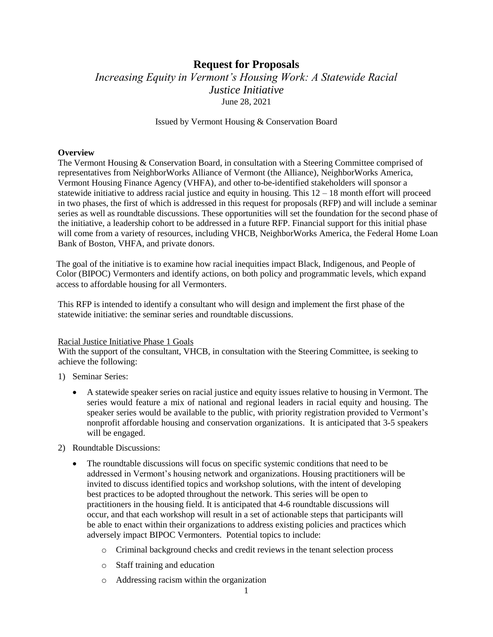# **Request for Proposals** *Increasing Equity in Vermont's Housing Work: A Statewide Racial Justice Initiative* June 28, 2021

#### Issued by Vermont Housing & Conservation Board

#### **Overview**

The Vermont Housing & Conservation Board, in consultation with a Steering Committee comprised of representatives from NeighborWorks Alliance of Vermont (the Alliance), NeighborWorks America, Vermont Housing Finance Agency (VHFA), and other to-be-identified stakeholders will sponsor a statewide initiative to address racial justice and equity in housing. This  $12 - 18$  month effort will proceed in two phases, the first of which is addressed in this request for proposals (RFP) and will include a seminar series as well as roundtable discussions. These opportunities will set the foundation for the second phase of the initiative, a leadership cohort to be addressed in a future RFP. Financial support for this initial phase will come from a variety of resources, including VHCB, NeighborWorks America, the Federal Home Loan Bank of Boston, VHFA, and private donors.

The goal of the initiative is to examine how racial inequities impact Black, Indigenous, and People of Color (BIPOC) Vermonters and identify actions, on both policy and programmatic levels, which expand access to affordable housing for all Vermonters.

This RFP is intended to identify a consultant who will design and implement the first phase of the statewide initiative: the seminar series and roundtable discussions.

#### Racial Justice Initiative Phase 1 Goals

With the support of the consultant, VHCB, in consultation with the Steering Committee, is seeking to achieve the following:

- 1) Seminar Series:
	- A statewide speaker series on racial justice and equity issues relative to housing in Vermont. The series would feature a mix of national and regional leaders in racial equity and housing. The speaker series would be available to the public, with priority registration provided to Vermont's nonprofit affordable housing and conservation organizations. It is anticipated that 3-5 speakers will be engaged.
- 2) Roundtable Discussions:
	- The roundtable discussions will focus on specific systemic conditions that need to be addressed in Vermont's housing network and organizations. Housing practitioners will be invited to discuss identified topics and workshop solutions, with the intent of developing best practices to be adopted throughout the network. This series will be open to practitioners in the housing field. It is anticipated that 4-6 roundtable discussions will occur, and that each workshop will result in a set of actionable steps that participants will be able to enact within their organizations to address existing policies and practices which adversely impact BIPOC Vermonters. Potential topics to include:
		- o Criminal background checks and credit reviews in the tenant selection process
		- o Staff training and education
		- o Addressing racism within the organization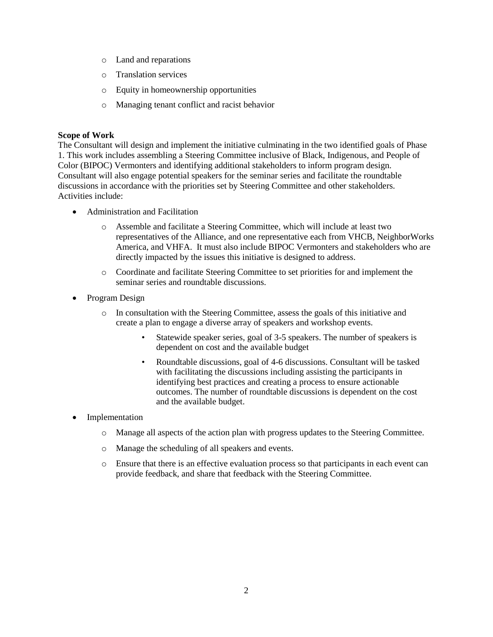- o Land and reparations
- o Translation services
- o Equity in homeownership opportunities
- o Managing tenant conflict and racist behavior

# **Scope of Work**

The Consultant will design and implement the initiative culminating in the two identified goals of Phase 1. This work includes assembling a Steering Committee inclusive of Black, Indigenous, and People of Color (BIPOC) Vermonters and identifying additional stakeholders to inform program design. Consultant will also engage potential speakers for the seminar series and facilitate the roundtable discussions in accordance with the priorities set by Steering Committee and other stakeholders. Activities include:

- Administration and Facilitation
	- o Assemble and facilitate a Steering Committee, which will include at least two representatives of the Alliance, and one representative each from VHCB, NeighborWorks America, and VHFA. It must also include BIPOC Vermonters and stakeholders who are directly impacted by the issues this initiative is designed to address.
	- o Coordinate and facilitate Steering Committee to set priorities for and implement the seminar series and roundtable discussions.
- Program Design
	- o In consultation with the Steering Committee, assess the goals of this initiative and create a plan to engage a diverse array of speakers and workshop events.
		- Statewide speaker series, goal of 3-5 speakers. The number of speakers is dependent on cost and the available budget
		- Roundtable discussions, goal of 4-6 discussions. Consultant will be tasked with facilitating the discussions including assisting the participants in identifying best practices and creating a process to ensure actionable outcomes. The number of roundtable discussions is dependent on the cost and the available budget.
- Implementation
	- o Manage all aspects of the action plan with progress updates to the Steering Committee.
	- o Manage the scheduling of all speakers and events.
	- o Ensure that there is an effective evaluation process so that participants in each event can provide feedback, and share that feedback with the Steering Committee.